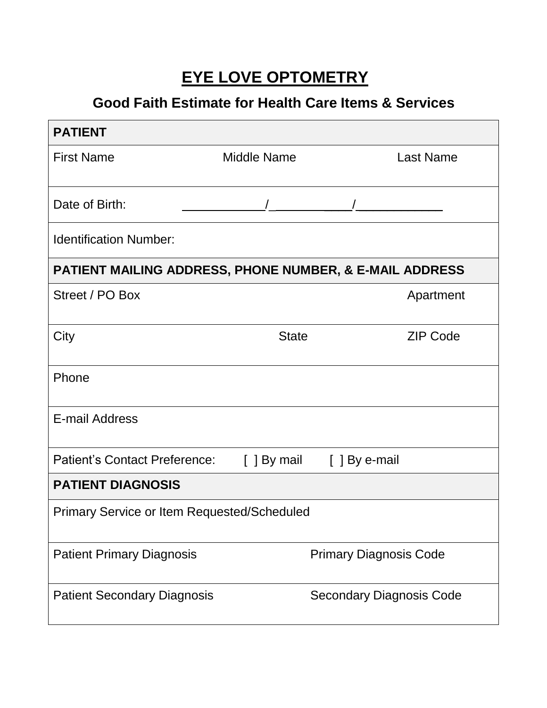# **EYE LOVE OPTOMETRY**

## **Good Faith Estimate for Health Care Items & Services**

| <b>PATIENT</b>                                                     |                    |                                 |  |  |  |  |
|--------------------------------------------------------------------|--------------------|---------------------------------|--|--|--|--|
| <b>First Name</b>                                                  | <b>Middle Name</b> | <b>Last Name</b>                |  |  |  |  |
| Date of Birth:                                                     |                    |                                 |  |  |  |  |
| <b>Identification Number:</b>                                      |                    |                                 |  |  |  |  |
| <b>PATIENT MAILING ADDRESS, PHONE NUMBER, &amp; E-MAIL ADDRESS</b> |                    |                                 |  |  |  |  |
| Street / PO Box                                                    |                    | Apartment                       |  |  |  |  |
| City                                                               | <b>State</b>       | <b>ZIP Code</b>                 |  |  |  |  |
| Phone                                                              |                    |                                 |  |  |  |  |
| <b>E-mail Address</b>                                              |                    |                                 |  |  |  |  |
| <b>Patient's Contact Preference:</b>                               |                    | [ ] By mail [ ] By e-mail       |  |  |  |  |
| <b>PATIENT DIAGNOSIS</b>                                           |                    |                                 |  |  |  |  |
| Primary Service or Item Requested/Scheduled                        |                    |                                 |  |  |  |  |
| <b>Patient Primary Diagnosis</b>                                   |                    | <b>Primary Diagnosis Code</b>   |  |  |  |  |
| <b>Patient Secondary Diagnosis</b>                                 |                    | <b>Secondary Diagnosis Code</b> |  |  |  |  |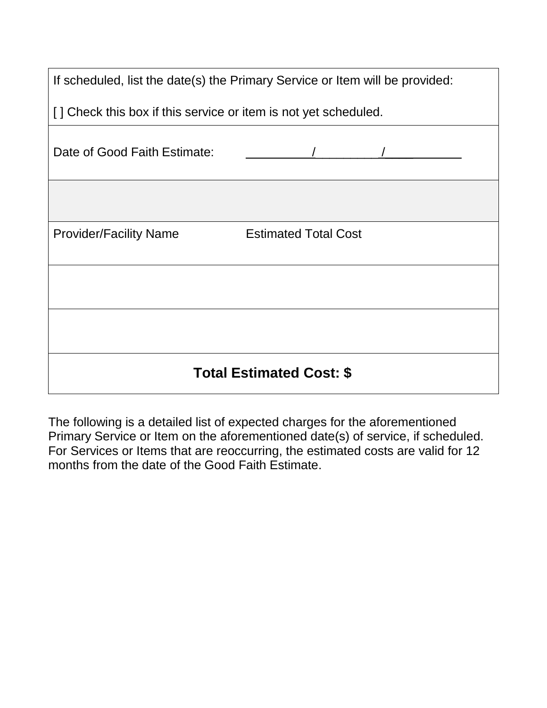| If scheduled, list the date(s) the Primary Service or Item will be provided: |  |  |  |  |
|------------------------------------------------------------------------------|--|--|--|--|
| [] Check this box if this service or item is not yet scheduled.              |  |  |  |  |
| Date of Good Faith Estimate:                                                 |  |  |  |  |
|                                                                              |  |  |  |  |
| <b>Estimated Total Cost</b><br><b>Provider/Facility Name</b>                 |  |  |  |  |
|                                                                              |  |  |  |  |
|                                                                              |  |  |  |  |
| <b>Total Estimated Cost: \$</b>                                              |  |  |  |  |

The following is a detailed list of expected charges for the aforementioned Primary Service or Item on the aforementioned date(s) of service, if scheduled. For Services or Items that are reoccurring, the estimated costs are valid for 12 months from the date of the Good Faith Estimate.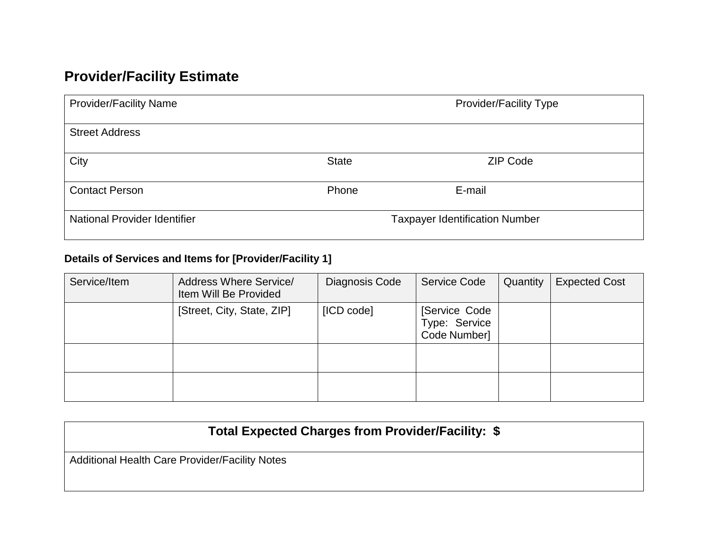## **Provider/Facility Estimate**

| <b>Provider/Facility Name</b>       | <b>Provider/Facility Type</b>         |                 |  |
|-------------------------------------|---------------------------------------|-----------------|--|
| <b>Street Address</b>               |                                       |                 |  |
| City                                | <b>State</b>                          | <b>ZIP Code</b> |  |
| <b>Contact Person</b>               | Phone                                 | E-mail          |  |
| <b>National Provider Identifier</b> | <b>Taxpayer Identification Number</b> |                 |  |

#### **Details of Services and Items for [Provider/Facility 1]**

| Service/Item | <b>Address Where Service/</b><br>Item Will Be Provided | Diagnosis Code | <b>Service Code</b>                            | Quantity | <b>Expected Cost</b> |
|--------------|--------------------------------------------------------|----------------|------------------------------------------------|----------|----------------------|
|              | [Street, City, State, ZIP]                             | [ICD code]     | [Service Code<br>Type: Service<br>Code Number] |          |                      |
|              |                                                        |                |                                                |          |                      |
|              |                                                        |                |                                                |          |                      |

| Total Expected Charges from Provider/Facility: \$ |  |
|---------------------------------------------------|--|
|---------------------------------------------------|--|

Additional Health Care Provider/Facility Notes